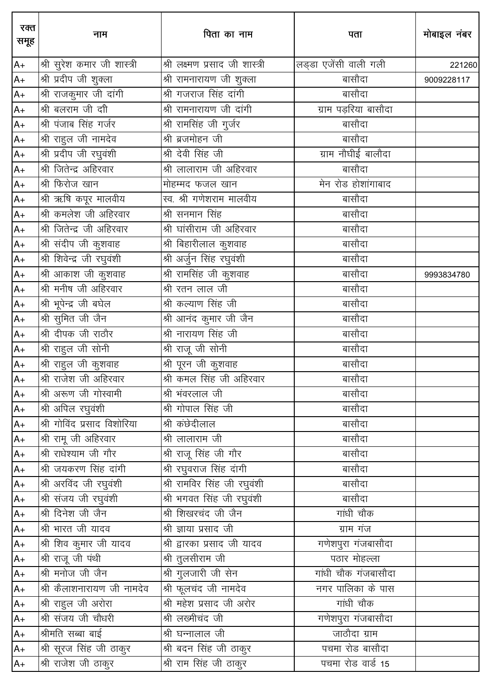| रक्त<br>समूह | नाम                         | पिता का नाम                           | पता                   | मोबाइल नंबर |
|--------------|-----------------------------|---------------------------------------|-----------------------|-------------|
| $A+$         | श्री सुरेश कमार जी शास्त्री | श्री लक्ष्मण प्रसाद जी शास्त्री       | लड्डा एजेंसी वाली गली | 221260      |
| $A+$         | श्री प्रदीप जी शुक्ला       | श्री रामनारायण जी शुक्ला              | बासौदा                | 9009228117  |
| $A+$         | श्री राजकुमार जी दांगी      | __<br>श्री गजराज सिंह दांगी           | बासौदा                |             |
| $A+$         | श्री बलराम जी दाी           | श्री रामनारायण जी दांगी               | ग्राम पड़रिया बासौदा  |             |
| $A+$         | श्री पंजाब सिंह गर्जर       | श्री रामसिंह जी गुर्जर                | बासौदा                |             |
| $A+$         | श्री राहुल जी नामदेव        | श्री ब्रजमोहन जी                      | बासौदा                |             |
| $A+$         | श्री प्रदीप जी रघुवंशी      | श्री देवी सिंह जी                     | ग्राम नौघीई बालौदा    |             |
| $A+$         | श्री जितेन्द्र अहिरवार      |                                       | बासौदा                |             |
| $A+$         | श्री फिरोज खान              | मोहम्मद फजल खान                       | मेन रोड होशांगाबाद    |             |
| $A+$         | श्री ऋषि कपूर मालवीय        |                                       | बासौदा                |             |
| $A+$         | श्री कमलेश जी अहिरवार       | श्री सनमान सिंह                       | बासौदा                |             |
| $A+$         | श्री जितेन्द्र जी अहिरवार   | श्री घांसीराम जी अहिरवार              | बासौदा                |             |
| $A+$         | श्री संदीप जी कुशवाह        | श्री बिहारीलाल कुशवाह                 | बासौदा                |             |
| $A+$         | श्री शिवेन्द्र जी रघुवंशी   | श्री अर्जुन सिंह रघुवंशी              | बासौदा                |             |
| $A+$         | श्री आकाश जी कुशवाह         | श्री रामसिंह जी कुशवाह                | बासौदा                | 9993834780  |
| $A+$         | श्री मनीष जी अहिरवार        | श्री रतन लाल जी                       | बासौदा                |             |
| $A+$         | श्री भूपेन्द्र जी बघेल      | श्री कल्याण सिंह जी                   | बासौदा                |             |
| $A+$         | श्री सुमित जी जैन           | <u>श्री आनंद क</u> ुमार जी जैन        | बासौदा                |             |
| $A+$         | श्री दीपक जी राठौर          | श्री नारायण सिंह जी                   | बासौदा                |             |
| $A+$         | श्री राहुल जी सोनी          | श्री राजू जी सोनी                     | बासौदा                |             |
| $A+$         | श्री राहुल जी कुशवाह        | श्री पूरन जी कुशवाह                   | बासौदा                |             |
| $A+$         | श्री राजेश जी अहिरवार       | श्री कमल सिंह जी अहिरवार              | बासौदा                |             |
| $A+$         | श्री अरूण जी गोस्वामी       | <u>.<br/>श्री भंवरलाल जी</u>          | बासौदा                |             |
| $A+$         | श्री अपिल रघुवंशी           | श्री गोपाल सिंह जी                    | बासौदा                |             |
| $A+$         | श्री गोविंद प्रसाद विशोरिया | श्री कंछेदीलाल                        | बासौदा                |             |
| $A+$         | श्री रामू जी अहिरवार        | <u>श्री</u> लालाराम जी                | बासौदा                |             |
| $A+$         | श्री राधेश्याम जी गौर       | श्री राजू सिंह जी गौर                 | बासौदा                |             |
| $A+$         | श्री जयकरण सिंह दांगी       | श्री रघुवराज सिंह दांगी               | बासौदा                |             |
| $A+$         | श्री अरविंद जी रघुवंशी      | श्री रामविर सिंह जी रघुवंशी           | बासौदा                |             |
| $A+$         | श्री संजय जी रघुवंशी        | श्री भगवत सिंह जी रघुवंशी             | बासौदा                |             |
| $A+$         | श्री दिनेश जी जैन           | <u>श्री शिखरचंद जी जैन</u>            | गांधी चौक             |             |
| $A+$         | श्री भारत जी यादव           | श्री ज्ञाया प्रसाद जी                 | ग्राम गंज             |             |
| $A+$         | श्री शिव कुमार जी यादव      | श्री द्वारका प्रसाद जी यादव           | गणेशपुरा गंजबासौदा    |             |
| $A+$         | श्री राजू जी पंथी           | श्री तुलसीराम जी                      | पठार मोहल्ला          |             |
| $A+$         | श्री मनोज जी जैन            | <u>श्री गु</u> लजारी जी सेन           | गांधी चौक गंजबासौदा   |             |
| A+           | श्री कैलाशनारायण जी नामदेव  | श्री फूलचंद जी नामदेव                 | नगर पालिका के पास     |             |
| $A+$         | श्री राहुल जी अरोरा         | श्री महेश प्रसाद जी अरोर              | गांधी चौक             |             |
| $A+$         | श्री संजय जी चौधरी          | श्री लख्मीचंद जी                      | गणेशपुरा गंजबासौदा    |             |
| $A+$         | श्रीमति सब्बा बाई           | $\overline{\mathfrak{A}}$ घन्नालाल जी | जाठौदा ग्राम          |             |
| $A+$         | श्री सूरज सिंह जी ठाकुर     | श्री बदन सिंह जी ठाकुर                | पचमा रोड बासौदा       |             |
| $A+$         | श्री राजेश जी ठाकुर         | श्री राम सिंह जी ठाकुर                | पचमा रोड वार्ड 15     |             |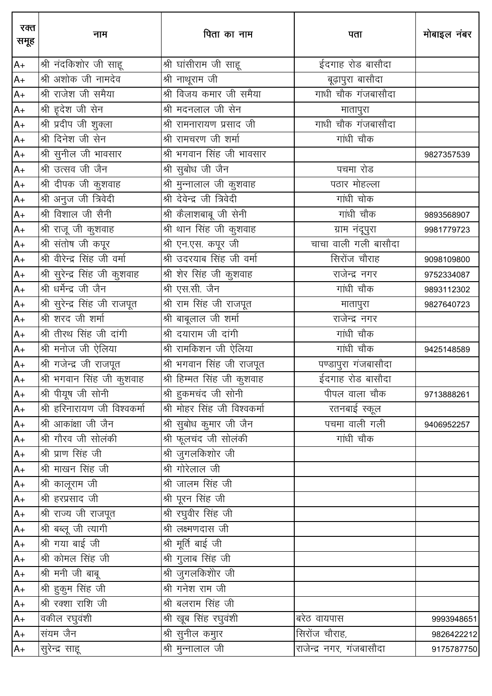| रक्त<br>समूह | नाम                           | पिता का नाम                                    | पता                      | मोबाइल नंबर |
|--------------|-------------------------------|------------------------------------------------|--------------------------|-------------|
| $A+$         | श्री नंदकिशोर जी साहू         | श्री घांसीराम जी साहू                          | ईदगाह रोड बासौदा         |             |
| $A+$         | श्री अशोक जी नामदेव           | श्री नाथूराम जी                                | बूढ़ापुरा बासौदा         |             |
| $A+$         | श्री राजेश जी समैया           | श्री विजय कमार जी समैया                        | गाधी चौक गंजबासौदा       |             |
| $A+$         | श्री ह़देश जी सेन             | श्री मदनलाल जी सेन                             | मातापुरा                 |             |
| $A+$         | श्री प्रदीप जी शुक्ला         | श्री रामनारायण प्रसाद जी                       | गाधी चौक गंजबासौदा       |             |
| $A+$         | श्री दिनेश जी सेन             | श्री रामचरण जी शर्मा                           | गांधी चौक                |             |
| $A+$         | श्री सुनील जी भावसार          | श्री भगवान सिंह जी भावसार                      |                          | 9827357539  |
| $A+$         | श्री उत्सव जी जैन             | श्री सुबोध जी जैन                              | पचमा रोड                 |             |
| $A+$         | श्री दीपक जी कुशवाह           | श्री मुन्नालाल जी कुशवाह                       | पठार मोहल्ला             |             |
| $A+$         | श्री अनुज जी त्रिवेदी         | <u>श्री</u> देवेन्द्र जी त्रिवेदी              | गांधी चोक                |             |
| $A+$         | श्री विशाल जी सैनी            | श्री कैलाशबाबू जी सेनी                         | गांधी चौक                | 9893568907  |
| $A+$         | श्री राजू जी कुशवाह           | श्री थान सिंह जी कुशवाह                        | ग्राम नंदूपुरा           | 9981779723  |
| $A+$         | श्री संतोष जी कपूर            | श्री एन.एस. कपूर जी                            | चाचा वाली गली बासौदा     |             |
| $A+$         | श्री वीरेन्द्र सिंह जी वर्मा  | ___<br>श्री उदरयाब सिंह जी वर्मा               | सिरोंज चौराह             | 9098109800  |
| $A+$         | श्री सुरेन्द्र सिंह जी कुशवाह | $\overline{\mathcal{A}}$ शेर सिंह जी कुशवाह    | राजेन्द्र नगर            | 9752334087  |
| $A+$         | श्री धर्मेन्द्र जी जैन        | श्री एस.सी. जैन                                | गांधी चौक                | 9893112302  |
| $A+$         | श्री सुरेन्द्र सिंह जी राजपूत | श्री राम सिंह जी राजप <mark>ू</mark> त         | मातापुरा                 | 9827640723  |
| $A+$         | श्री शरद जी शर्मा             | श्री बाबूलाल जी शर्मा                          | राजेन्द्र नगर            |             |
| $A+$         | श्री तीरथ सिंह जी दांगी       | श्री दयाराम जी दांगी                           | गांधी चौक                |             |
| $A+$         | श्री मनोज जी ऐलिया            |                                                | गांधी चौक                | 9425148589  |
| $A+$         | श्री गजेन्द्र जी राजपूत       | श्री भगवान सिंह जी राजपूत                      | पण्डापुरा गंजबासौदा      |             |
| $A+$         | श्री भगवान सिंह जी कुशवाह     | $\overline{\mathcal{A}}$ हिम्मत सिंह जी कुशवाह | .<br>ईदगाह रोड बासौदा    |             |
| $A+$         | श्री पीयूष जी सोनी            | श्री हुकमचंद जी सोनी                           | पीपल वाला चौक            | 9713888261  |
| $A+$         | श्री हरिनारायण जी विश्वकर्मा  | श्री मोहर सिंह जी विश्वकर्मा                   | रतनबाई स्कूल             |             |
| $A+$         | श्री आकांक्षा जी जैन          | श्री सुबोध कुमार जी जैन                        | पचमा वाली गली            | 9406952257  |
| $A+$         | श्री गौरव जी सोलंकी           | श्री फूलचंद जी सोलंकी                          | गांधी चौक                |             |
| $A+$         | श्री प्राण सिंह जी            | श्री जुगलकिशोर जी                              |                          |             |
| $A+$         | श्री माखन सिंह जी             | श्री गोरेलाल जी                                |                          |             |
| $A+$         | श्री कालूराम जी               | श्री जालम सिंह जी                              |                          |             |
| $A+$         | श्री हरप्रसाद जी              | श्री पूरन सिंह जी                              |                          |             |
| $A+$         | श्री राज्य जी राजपूत          | श्री रघुवीर सिंह जी                            |                          |             |
| $A+$         | श्री बब्लू जी त्यागी          | श्री लक्ष्मणदास जी                             |                          |             |
| $A+$         | श्री गया बाई जी               | श्री मूर्ति बाई जी                             |                          |             |
| $A+$         | श्री कोमल सिंह जी             | श्री गुलाब सिंह जी                             |                          |             |
| $A+$         | श्री मनी जी बाबू              | श्री जुगलकिशोर जी                              |                          |             |
| $A+$         | श्री हुकुम सिंह जी            | श्री गनेश राम जी                               |                          |             |
| $A+$         | श्री रक्शा राशि जी            | <u>श्री बलराम सिंह जी</u>                      |                          |             |
| $A+$         | वकील रघुवंशी                  | श्री खूब सिंह रघुवंशी                          | बरेठ वायपास              | 9993948651  |
| $A+$         | संयम जैन                      | श्री सुनील कमुार                               | सिरोंज चौराह,            | 9826422212  |
| $A+$         | सुरेन्द्र साहू                | श्री मुन्नालाल जी                              | राजेन्द्र नगर, गंजबासौदा | 9175787750  |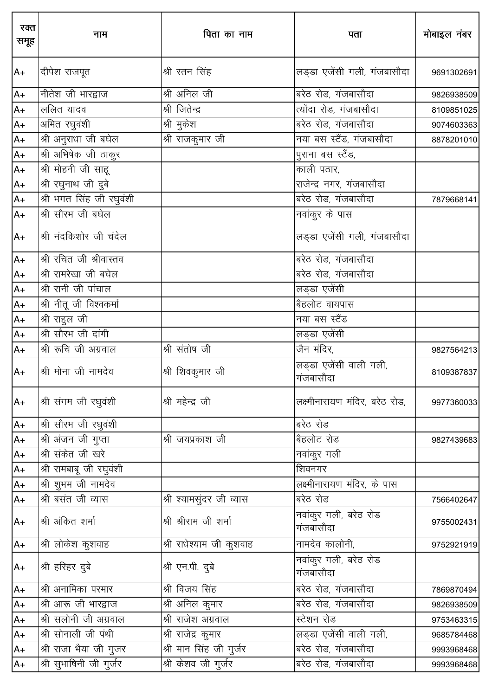| रक्त<br>समूह | नाम                      | पिता का नाम               | पता                                 | मोबाइल नंबर |
|--------------|--------------------------|---------------------------|-------------------------------------|-------------|
| $A+$         | दीपेश राजपूत             | श्री रतन सिंह             | लड्डा एजेंसी गली, गंजबासौदा         | 9691302691  |
| $A+$         | नीतेश जी भारद्वाज        | श्री अनिल जी              | बरेठ रोड, गंजबासौदा                 | 9826938509  |
| $A+$         | ललित यादव                | श्री जितेन्द्र            | त्योंदा रोड, गंजबासौदा              | 8109851025  |
| $A+$         | अमित रघुवंशी             | श्री मुकेश                | बरेठ रोड, गंजबासौदा                 | 9074603363  |
| $A+$         | श्री अनुराधा जी बघेल     | श्री राजकुमार जी          | नया बस स्टैंड, गंजबासौदा            | 8878201010  |
| $A+$         | श्री अभिषेक जी ठाकुर     |                           | पुराना बस स्टैंड,                   |             |
| $A+$         | श्री मोहनी जी साहू       |                           | काली पठार,                          |             |
| $A+$         | श्री रघुनाथ जी दुबे      |                           | राजेन्द्र नगर, गंजबासौदा            |             |
| $A+$         | श्री भगत सिंह जी रघुवंशी |                           | बरेठ रोड, गंजबासौदा                 | 7879668141  |
| $A+$         | श्री सौरभ जी बघेल        |                           | नवांकुर के पास                      |             |
| $A+$         | श्री नंदकिशोर जी चंदेल   |                           | लड्डा एजेंसी गली, गंजबासौदा         |             |
| $A+$         | श्री रचित जी श्रीवास्तव  |                           | बरेठ रोड, गंजबासौदा                 |             |
| $A+$         | श्री रामरेखा जी बघेल     |                           | बरेठ रोड, गंजबासौदा                 |             |
| $A+$         | श्री रानी जी पांचाल      |                           | लड्डा एजेंसी                        |             |
| $A+$         | श्री नीतू जी विश्वकर्मा  |                           | बैहलोट वायपास                       |             |
| $A+$         | श्री राहुल जी            |                           | नया बस स्टैंड                       |             |
| $A+$         | श्री सौरभ जी दांगी       |                           | लड्डा एजेंसी                        |             |
| $A+$         | श्री रूचि जी अग्रवाल     | श्री संतोष जी             | जैन मंदिर,                          | 9827564213  |
| $A+$         | श्री मोना जी नामदेव      | श्री शिवकुमार जी          | लड्डा एजेंसी वाली गली,<br>गंजबासौदा | 8109387837  |
| $A+$         | श्री संगम जी रघुवंशी     | श्री महेन्द्र जी          | लक्ष्मीनारायण मंदिर, बरेठ रोड,      | 9977360033  |
| $A+$         | श्री सौरभ जी रघुवंशी     |                           | बरेठ रोड                            |             |
| $A+$         | श्री अंजन जी गुप्ता      | श्री जयप्रकाश जी          | बैहलोट रोड                          | 9827439683  |
| $A+$         | श्री संकेत जी खरे        |                           | नवांकुर गली                         |             |
| $A+$         | श्री रामबाबू जी रघुवंशी  |                           | शिवनगर                              |             |
| $A+$         | श्री शुभम जी नामदेव      |                           | लक्ष्मीनारायण मंदिर, के पास         |             |
| $A+$         | श्री बसंत जी व्यास       | श्री श्यामसुंदर जी व्यास  | बरेठ रोड                            | 7566402647  |
| $A+$         | श्री अंकित शर्मा         | श्री श्रीराम जी शर्मा     | नवांकुर गली, बरेठ रोड<br>गंजबासौदा  | 9755002431  |
| $A+$         | श्री लोकेश कुशवाह        | श्री राधेश्याम जी कुशवाह  | नामदेव कालोनी,                      | 9752921919  |
| $A+$         | श्री हरिहर दुबे          | श्री एन.पी. दुबे          | नवांकुर गली, बरेठ रोड<br>गंजबासौदा  |             |
| $A+$         | श्री अनामिका परमार       | श्री विजय सिंह            | बरेठ रोड, गंजबासौदा                 | 7869870494  |
| $A+$         | श्री आरू जी भारद्वाज     | श्री अनिल कुमार           | बरेठ रोड, गंजबासौदा                 | 9826938509  |
| $A+$         | श्री सलोनी जी अग्रवाल    | श्री राजेश अग्रवाल        | स्टेशन रोड                          | 9753463315  |
| $A+$         | श्री सोनाली जी पंथी      | श्री राजेद्र कुमार        | लड्डा एजेंसी वाली गली,              | 9685784468  |
| $A+$         | श्री राजा भैया जी गुजर   | श्री मान सिंह जी गुर्जर   | बरेठ रोड, गंजबासौदा                 | 9993968468  |
| $A+$         | श्री सुभाषिनी जी गुर्जर  | __<br>श्री केशव जी गुर्जर | बरेठ रोड, गंजबासौदा                 | 9993968468  |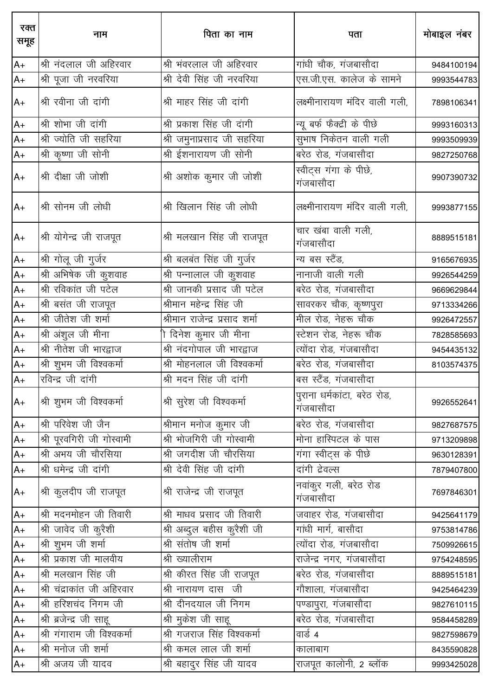| रक्त<br>समूह | नाम                        | पिता का नाम                    | पता                                      | मोबाइल नंबर |
|--------------|----------------------------|--------------------------------|------------------------------------------|-------------|
| $A+$         | श्री नंदलाल जी अहिरवार     | श्री भंवरलाल जी अहिरवार        | गांधी चौक, गंजबासौदा                     | 9484100194  |
| $A+$         | श्री पूजा जी नरवरिया       | श्री देवी सिंह जी नरवरिया      | एस.जी.एस. कालेज के सामने                 | 9993544783  |
| $A+$         | श्री रवीना जी दांगी        | श्री माहर सिंह जी दांगी        | लक्ष्मीनारायण मंदिर वाली गली,            | 7898106341  |
| $A+$         | श्री शोभा जी दांगी         | श्री प्रकाश सिंह जी दांगी      | न्यू बर्फ फैक्ट्री के पीछे               | 9993160313  |
| $A+$         | श्री ज्योति जी सहरिया      | श्री जमुनाप्रसाद जी सहरिया     | सुभाष निकेतन वाली गली                    | 9993509939  |
| $A+$         | श्री कृष्णा जी सोनी        | श्री ईशनारायण जी सोनी          | बरेठ रोड, गंजबासौदा                      | 9827250768  |
| $A+$         | श्री दीक्षा जी जोशी        | श्री अशोक कुमार जी जोशी        | स्वीट्स गंगा के पीछे,<br>गंजबासौदा       | 9907390732  |
| $A+$         | श्री सोनम जी लोधी          | श्री खिलान सिंह जी लोधी        | लक्ष्मीनारायण मंदिर वाली गली,            | 9993877155  |
| $A+$         | श्री योगेन्द्र जी राजपूत   | श्री मलखान सिंह जी राजपूत      | चार खंबा वाली गली,<br>गंजबासौदा          | 8889515181  |
| $A+$         | श्री गोलू जी गुर्जर        | श्री बलबंत सिंह जी गुर्जर      | न्य बस स्टैंड,                           | 9165676935  |
| $A+$         | श्री अभिषेक जी कुशवाह      | श्री पन्नालाल जी कुशवाह        | नानाजी वाली गली                          | 9926544259  |
| $A+$         | श्री रविकांत जी पटेल       | श्री जानकी प्रसाद जी पटेल      | बरेठ रोड, गंजबासौदा                      | 9669629844  |
| $A+$         | श्री बसंत जी राजपूत        | श्रीमान महेन्द्र सिंह जी       | सावरकर चौक, कृष्णपुरा                    | 9713334266  |
| $A+$         | श्री जीतेश जी शर्मा        | श्रीमान राजेन्द्र प्रसाद शर्मा | मील रोड, नेहरू चौक                       | 9926472557  |
| $A+$         | श्री अंशुल जी मीना         | ो दिनेश कुमार जी मीना          | स्टेशन रोड, नेहरू चौक                    | 7828585693  |
| $A+$         | श्री नीतेश जी भारद्वाज     | श्री नंदगोपाल जी भारद्वाज      | त्योंदा रोड, गंजबासौदा                   | 9454435132  |
| $A+$         | श्री शुभम जी विश्वकर्मा    | श्री मोहनलाल जी विश्वकर्मा     | बरेठ रोड, गंजबासौदा                      | 8103574375  |
| $A+$         | रविन्द्र जी दांगी          | श्री मदन सिंह जी दांगी         | बस स्टैंड, गंजबासौदा                     |             |
| $A+$         | श्री शुभम जी विश्वकर्मा    | श्री सुरेश जी विश्वकर्मा       | पुराना धर्मकांटा, बरेठ रोड,<br>गंजबासौदा | 9926552641  |
| $A+$         | श्री परिवेश जी जैन         | श्रीमान मनोज कुमार जी          | बरेठ रोड, गंजबासौदा                      | 9827687575  |
| $A+$         | श्री पूरवगिरी जी गोस्वामी  | श्री भोजगिरी जी गोस्वामी       | मोना हास्पिटल के पास                     | 9713209898  |
| $A+$         | श्री अभय जी चौरसिया        | श्री जगदीश जी चौरसिया          | गंगा स्वीट्स के पीछे                     | 9630128391  |
| $A+$         | श्री धमेन्द्र जी दांगी     | श्री देवी सिंह जी दांगी        | दांगी देवल्स                             | 7879407800  |
| $A+$         | श्री कुलदीप जी राजपूत      | श्री राजेन्द्र जी राजपूत       | नवांकुर गली, बरेठ रोड<br>गंजबासौदा       | 7697846301  |
| $A+$         | श्री मदनमोहन जी तिवारी     | श्री माधव प्रसाद जी तिवारी     | जवाहर रोड, गंजबासौदा                     | 9425641179  |
| $A+$         | श्री जावेद जी कुरैशी       | श्री अब्दुल बहीस कुरैशी जी     | गांधी मार्ग, बासौदा                      | 9753814786  |
| $A+$         | श्री शुभम जी शर्मा         | श्री संतोष जी शर्मा            | त्योंदा रोड, गंजबासौदा                   | 7509926615  |
| $A+$         | श्री प्रकाश जी मालवीय      | श्री ख्यालीराम                 | राजेन्द्र नगर, गंजबासौदा                 | 9754248595  |
| $A+$         | श्री मलखान सिंह जी         | श्री कीरत सिंह जी राजपूत       | बरेठ रोड, गंजबासौदा                      | 8889515181  |
| $A+$         | श्री चंद्राकांत जी अहिरवार | श्री नारायण दास जी             | गौशाला, गंजबासौदा                        | 9425464239  |
| $A+$         | श्री हरिशचंद निगम जी       | श्री दीनदयाल जी निगम           | पण्डापुरा, गंजबासौदा                     | 9827610115  |
| $A+$         | श्री ब्रजेन्द्र जी साहू    | श्री मुकेश जी साहू             | बरेठ रोड, गंजबासौदा                      | 9584458289  |
| $A+$         | श्री गंगाराम जी विश्वकर्मा | श्री गजराज सिंह विश्वकर्मा     | वार्ड 4                                  | 9827598679  |
| $A+$         | श्री मनोज जी शर्मा         | श्री कमल लाल जी शर्मा          | कालाबाग                                  | 8435590828  |
| $A+$         | श्री अजय जी यादव           | श्री बहादुर सिंह जी यादव       | राजपूत कालोनी, 2 ब्लॉक                   | 9993425028  |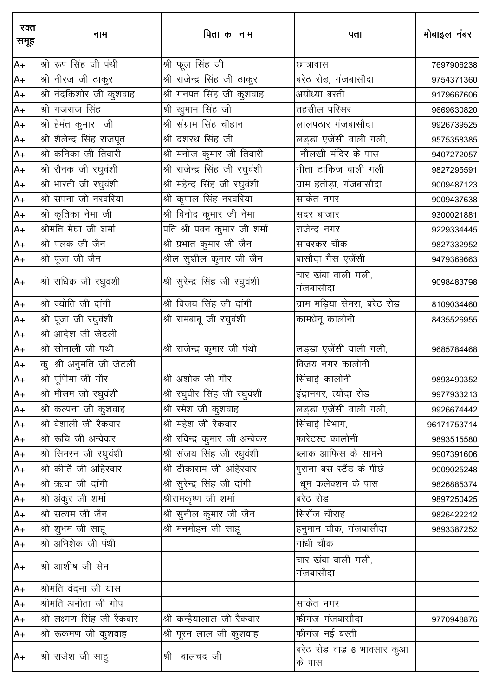| रक्त<br>समूह | नाम                         | पिता का नाम                      | पता                                  | मोबाइल नंबर |
|--------------|-----------------------------|----------------------------------|--------------------------------------|-------------|
| $A+$         | श्री रूप सिंह जी पंथी       | श्री फूल सिंह जी                 | छात्रावास                            | 7697906238  |
| $A+$         | श्री नीरज जी ठाकुर          | श्री राजेन्द्र सिंह जी ठाकुर     | बरेठ रोड, गंजबासौदा                  | 9754371360  |
| $A+$         | श्री नंदकिशोर जी कुशवाह     | श्री गनपत सिंह जी कुशवाह         | अयोध्या बस्ती                        | 9179667606  |
| $A+$         | श्री गजराज सिंह             | श्री खुमान सिंह जी               | तहसील परिसर                          | 9669630820  |
| $A+$         | श्री हेमंत कुमार जी         | श्री संग्राम सिंह चौहान          | लालपठार गंजबासौदा                    | 9926739525  |
| $A+$         | श्री शैलेन्द्र सिंह राजपूत  | श्री दशरथ सिंह जी                | लिंड्डा एजेंसी वाली गली,             | 9575358385  |
| $A+$         | श्री कनिका जी तिवारी        | श्री मनोज कुमार जी तिवारी        | नौलखी मंदिर के पास                   | 9407272057  |
| $A+$         | श्री रौनक जी रघुवंशी        | श्री राजेन्द्र सिंह जी रघुवंशी   | गीता टाकिज वाली गली                  | 9827295591  |
| $A+$         | श्री भारती जी रघुवंशी       | श्री महेन्द्र सिंह जी रघुवंशी    | ग्राम हतोड़ा, गंजबासौदा              | 9009487123  |
| $A+$         | श्री सपना जी नरवरिया        | श्री कृपाल सिंह नरवरिया          | साकेत नगर                            | 9009437638  |
| $A+$         | श्री कृतिका नेमा जी         | श्री विनोद कुमार जी नेमा         | सदर बाजार                            | 9300021881  |
| $A+$         | श्रीमति मेघा जी शर्मा       | .<br>पति श्री पवन कुमार जी शर्मा | राजेन्द्र नगर                        | 9229334445  |
| $A+$         | श्री पलक जी जैन             |                                  | सावरकर चौक                           | 9827332952  |
| $A+$         | श्री पूजा जी जैन            | श्रील सुशील कुमार जी जैन         | बासौदा गैस एजेंसी                    | 9479369663  |
| $A+$         | श्री राधिक जी रघुवंशी       | श्री सुरेन्द्र सिंह जी रघुवंशी   | चार खंबा वाली गली,<br>गंजबासौदा      | 9098483798  |
| $A+$         | श्री ज्योति जी दांगी        | श्री विजय सिंह जी दांगी          | ग्राम मड़िया सेमरा, बरेठ रोड         | 8109034460  |
| $A+$         | श्री पूजा जी रघुवंशी        | श्री रामबाबू जी रघुवंशी          | कामधेनू कालोनी                       | 8435526955  |
| $A+$         | श्री आदेश जी जेटली          |                                  |                                      |             |
| $A+$         | श्री सोनाली जी पंथी         | श्री राजेन्द्र कुमार जी पंथी     | लड्डा एजेंसी वाली गली,               | 9685784468  |
| $A+$         | कु. श्री अनुमति जी जेटली    |                                  | विजय नगर कालोनी                      |             |
| $A+$         | श्री पूर्णिमा जी गौर        | श्री अशोक जी गौर                 | सिंचाई कालोनी                        | 9893490352  |
| $A+$         | श्री मौसम जी रघुवंशी        | श्री रघुवीर सिंह जी रघुवंशी      | इंद्रानगर, त्योंदा रोड               | 9977933213  |
| $A+$         | श्री कल्पना जी कुशवाह       | श्री रमेश जी कुशवाह              | लड़डा एजेंसी वाली गली,               | 9926674442  |
| $A+$         | श्री वेशाली जी रैकवार       | श्री महेश जी रैकवार              | सिंचाई विभाग,                        | 96171753714 |
| $A+$         | श्री रूचि जी अन्वेकर        | श्री रविन्द्र कुमार जी अन्वेकर   | फारेटस्ट कालोनी                      | 9893515580  |
| $A+$         | श्री सिमरन जी रघुवंशी       | श्री संजय सिंह जी रधुवंशी        | ब्लाक आफिस के सामने                  | 9907391606  |
| $A+$         | श्री कीर्ति जी अहिरवार      | श्री टीकाराम जी अहिरवार          | पुराना बस स्टैंड के पीछे             | 9009025248  |
| $A+$         | श्री ऋचा जी दांगी           | श्री सुरेन्द्र सिंह जी दांगी     | धूम कलेक्शन के पास                   | 9826885374  |
| $A+$         | श्री अंकुर जी शर्मा         | श्रीरामकृष्ण जी शर्मा            | बरेठ रोड                             | 9897250425  |
| $A+$         | श्री सत्यम जी जैन           | श्री सुनील कुमार जी जैन          | सिरोंज चौराह                         | 9826422212  |
| $A+$         | श्री शुभम जी साहू           | श्री मनमोहन जी साहू              | हनुमान चौक, गंजबासौदा                | 9893387252  |
| $A+$         | श्री अभिशेक जी पंथी         |                                  | गांधी चौक                            |             |
| $A+$         | श्री आशीष जी सेन            |                                  | चार खंबा वाली गली,<br>गंजबासौदा      |             |
| $A+$         | श्रीमति वंदना जी यास        |                                  |                                      |             |
| $A+$         | श्रीमति अनीता जी गोप        |                                  | साकेत नगर                            |             |
| $A+$         | श्री लक्ष्मण सिंह जी रैकवार | श्री कन्हैयालाल जी रैकवार        | फ्रीगंज गंजबासौदा                    | 9770948876  |
| $A+$         | श्री रूकमण जी कुशवाह        | श्री पूरन लाल जी कुशवाह          | फ्रीगंज नई बस्ती                     |             |
| $A+$         | श्री राजेश जी साहु          | श्री बालचंद जी                   | बरेठ रोड वाड़ 6 भावसार कुआ<br>के पास |             |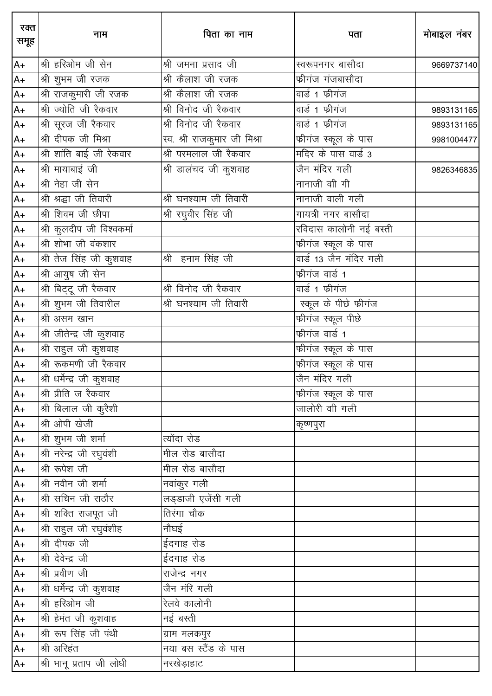| रक्त<br>समूह | नाम                       | पिता का नाम                  | पता                               | मोबाइल नंबर |
|--------------|---------------------------|------------------------------|-----------------------------------|-------------|
| $A+$         | श्री हरिओम जी सेन         | श्री जमना प्रसाद जी          | स्वरूपनगर बासौदा                  | 9669737140  |
| $A+$         | श्री शुभम जी रजक          | श्री कैलाश जी रजक            | फ्रीगंज गंजबासौदा                 |             |
| $A+$         | श्री राजकुमारी जी रजक     | श्री कैलाश जी रजक            | वार्ड 1 फीगंज                     |             |
| $A+$         | श्री ज्योति जी रैकवार     | श्री विनोद जी रैकवार         | वार्ड 1 फीगंज                     | 9893131165  |
| $A+$         | श्री सूरज जी रैकवार       | श्री विनोद जी रैकवार         | वार्ड 1 फीगंज                     | 9893131165  |
| $A+$         | श्री दीपक जी मिश्रा       | स्व. श्री राजकुमार जी मिश्रा | फ्रीगंज स्कूल के पास              | 9981004477  |
| $A+$         | श्री शांति बाई जी रेकवार  | श्री परमलाल जी रैकवार        | मदिर के पास वार्ड 3               |             |
| $A+$         | श्री मायाबाई जी           | श्री डालंचद जी कुशवाह        | जैन मंदिर गली                     | 9826346835  |
| $A+$         | श्री नेहा जी सेन          |                              | नानाजी वी गी                      |             |
| $A+$         | श्री श्रद्धा जी तिवारी    | श्री घनश्याम जी तिवारी       | नानाजी वाली गली                   |             |
| $A+$         | श्री शिवम जी छीपा         | श्री रघुवीर सिंह जी          |                                   |             |
| $A+$         | श्री कुलदीप जी विश्वकर्मा |                              | रविदास कालोनी नई बस्ती            |             |
| $A+$         | श्री शोभा जी वंकशार       |                              | फ्रीगंज स्कूल के पास              |             |
| $A+$         | श्री तेज सिंह जी कुशवाह   | श्री हनाम सिंह जी            | <u>वार्ड 13 जैन मंदिर गली</u>     |             |
| $A+$         | श्री आयुष जी सेन          |                              | फीगंज वार्ड 1                     |             |
| $A+$         | श्री बिट्टू जी रैकवार     | श्री विनोद जी रैकवार         | वार्ड 1 फीगंज                     |             |
| $A+$         | श्री शुभम जी तिवारील      | श्री घनश्याम जी तिवारी       | स्कूल के पीछे फीगंज               |             |
| $A+$         | श्री असम खान              |                              | <u>फीगंज स्कू</u> ल पीछे          |             |
| $A+$         | श्री जीतेन्द्र जी कुशवाह  |                              | फीगंज वार्ड 1                     |             |
| $A+$         | श्री राहुल जी कुशवाह      |                              | <mark>फ</mark> ़ीगंज स्कूल के पास |             |
| $A+$         | श्री रूकमणी जी रैकवार     |                              | फीगंज स्कूल के पास                |             |
| $A+$         | श्री धर्मेन्द्र जी कुशवाह |                              | जैन मंदिर गली                     |             |
| $A+$         | श्री प्रीति ज रैकवार      |                              | फीगंज स्कूल के पास                |             |
| A+           | श्री बिलाल जी कुरैशी      |                              | जालोरी वीी गली                    |             |
| A+           | श्री ओपी खेजी             |                              | कृष्णपुरा                         |             |
| $A+$         | श्री शुभम जी शर्मा        | त्योंदा रोड                  |                                   |             |
| $A+$         | श्री नरेन्द्र जी रघुवंशी  |                              |                                   |             |
| $A+$         | श्री रूपेश जी             | मील रोड बासौदा               |                                   |             |
| $A+$         | श्री नवीन जी शर्मा        | नवांकुर गली                  |                                   |             |
| $A+$         | श्री सचिन जी राठौर        | लड्डाजी एजेंसी गली           |                                   |             |
| $A+$         | श्री शक्ति राजपूत जी      | तिरंगा चौक                   |                                   |             |
| $A+$         | श्री राहुल जी रघुवंशीह    | नौघई                         |                                   |             |
| $A+$         | श्री दीपक जी              | ईदगाह रोड                    |                                   |             |
| $A+$         | श्री देवेन्द्र जी         | ईदगाह रोड                    |                                   |             |
| $A+$         | श्री प्रवीण जी            | राजेन्द्र नगर                |                                   |             |
| A+           | श्री धर्मेन्द्र जी कुशवाह | जैन मंरि गली                 |                                   |             |
| $A+$         | श्री हरिओम जी             | रेलवे कालोनी                 |                                   |             |
| A+           | श्री हेमंत जी कुशवाह      | नई बस्ती                     |                                   |             |
| $A+$         | श्री रूप सिंह जी पंथी     | ग्राम मलकपुर                 |                                   |             |
| $A+$         | श्री अरिहंत               | नया बस स्टैंड के पास         |                                   |             |
| $A+$         | श्री भानू प्रताप जी लोधी  | नरखेड़ाहाट                   |                                   |             |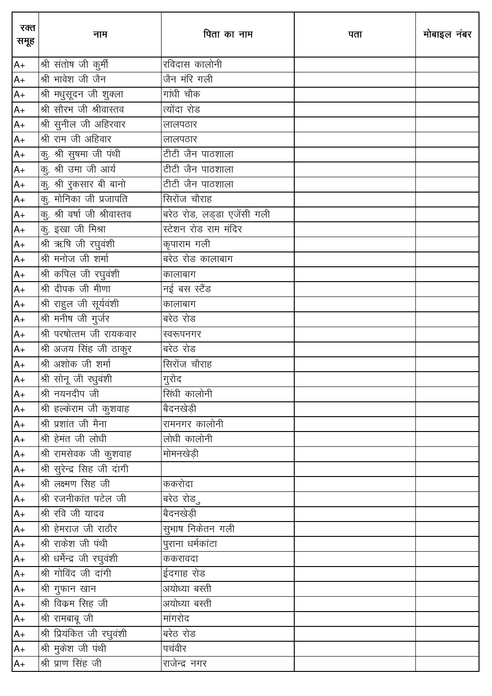| रक्त<br>समूह | नाम                          | पिता का नाम                | पता | मोबाइल नंबर |
|--------------|------------------------------|----------------------------|-----|-------------|
| $A+$         | श्री संतोष जी कुर्मी         | रविदास कालोनी              |     |             |
| $A+$         | श्री भावेश जी जैन            | जैन मंरि गली               |     |             |
| $A+$         | श्री मधुसूदन जी शुक्ला       | गांधी चौक                  |     |             |
| $A+$         | श्री सौरभ जी श्रीवास्तव      | त्योंदा रोड                |     |             |
| $A+$         | श्री सुनील जी अहिरवार        | लालपठार                    |     |             |
| $A+$         | श्री राम जी अहिवार           | लालपठार                    |     |             |
| $A+$         | कु. श्री सुषमा जी पंथी       | टीटी जैन पाठशाला           |     |             |
| $A+$         | कु. श्री उमा जी आर्य         | टीटी जैन पाठशाला           |     |             |
| $A+$         | कु. श्री रुकसार बी बानो      | टीटी जैन पाठशाला           |     |             |
| $A+$         | कु. मोनिका जी प्रजापति       | सिरोंज चौराह               |     |             |
| $A+$         | कु. श्री वर्षा जी श्रीवास्तव | बरेठ रोड, लड्डा एजेंसी गली |     |             |
| $A+$         | कु. इखा जी मिश्रा            | स्टेशन रोड राम मंदिर       |     |             |
| $A+$         | श्री ऋषि जी रघुवंशी          | कृपाराम गली                |     |             |
| $A+$         | श्री मनोज जी शर्मा           | बरेठ रोड कालाबाग           |     |             |
| $A+$         | श्री कपिल जी रघुवंशी         | कालाबाग                    |     |             |
| $A+$         | श्री दीपक जी मीणा            | नई बस स्टैंड               |     |             |
| $A+$         | श्री राहुल जी सूर्यवंशी      | कालाबाग                    |     |             |
| $A+$         | श्री मनीष जी गुर्जर          | <u>बरेठ</u> रोड            |     |             |
| $A+$         | श्री परषोत्तम जी रायकवार     | स्वरूपनगर                  |     |             |
| $A+$         | श्री अजय सिंह जी ठाकुर       | बरेठ रोड                   |     |             |
| $A+$         | श्री अशोक जी शर्मा           | <u>सि</u> रोंज चौराह       |     |             |
| $A+$         | श्री सोनू जी रधुवंशी         | गुरोद                      |     |             |
| $A+$         | श्री नयनदीप जी               | सिंधी कालोनी               |     |             |
| $A+$         | श्री हल्केराम जी कुशवाह      | बैदनखेड़ी                  |     |             |
| $A+$         | श्री प्रशांत जी मैना         | रामनगर कालोनी              |     |             |
| $A+$         | श्री हेमंत जी लोधी           | लोधी कालोनी                |     |             |
| $A+$         | श्री रामसेवक जी कुशवाह       | मोमनखेड़ी                  |     |             |
| $A+$         | श्री सुरेन्द्र सिह जी दांगी  |                            |     |             |
| $A+$         | श्री लक्ष्मण सिंह जी         | ककरोदा                     |     |             |
| $A+$         | श्री रजनीकांत पटेल जी        | बरेठ रोडु                  |     |             |
| $A+$         | श्री रवि जी यादव             | बैदनखेड़ी                  |     |             |
| $A+$         | श्री हेमराज जी राठौर         | सुभाष निकेतन गली           |     |             |
| $A+$         | श्री राकेश जी पंथी           | पुराना धर्मकांटा           |     |             |
| A+           | श्री धर्मेन्द्र जी रघुवंशी   | ककरावदा                    |     |             |
| $A+$         | श्री गोविंद जी दांगी         | ईदगाह रोड                  |     |             |
| A+           | श्री गुफान खान               | अयोध्या बस्ती              |     |             |
| A+           | श्री विक्रम सिंह जी          | अयोध्या बस्ती              |     |             |
| $A+$         | श्री रामबाबू जी              | मांगरोद                    |     |             |
| $A+$         | श्री प्रियंकित जी रघुवंशी    | बरेठ रोड                   |     |             |
| A+           | श्री मुकेश जी पंथी           | पचंवीर                     |     |             |
| $A+$         | श्री प्राण सिंह जी           | राजेन्द्र नगर              |     |             |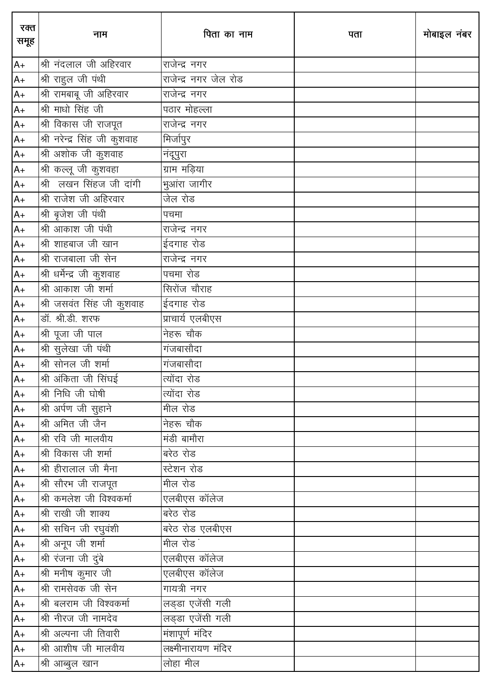| रक्त<br>समूह | नाम                                      | पिता का नाम           | पता | मोबाइल नंबर |
|--------------|------------------------------------------|-----------------------|-----|-------------|
| $A+$         | श्री नंदलाल जी अहिरवार                   | राजेन्द्र नगर         |     |             |
| $A+$         | श्री राहुल जी पंथी                       | राजेन्द्र नगर जेल रोड |     |             |
| $A+$         | श्री रामबाबू जी अहिरवार                  | राजेन्द्र नगर         |     |             |
| $A+$         | श्री माधो सिंह जी                        | पठार मोहल्ला          |     |             |
| $A+$         | श्री विकास जी राजपूत                     | _<br>राजेन्द्र नगर    |     |             |
| $A+$         | श्री नरेन्द्र सिंह जी कुशवाह             | मिर्जापुर             |     |             |
| $A+$         | $\overline{\mathfrak{R}}$ अशोक जी कुशवाह | नंदूपुरा              |     |             |
| $A+$         | श्री कल्लू जी कुशवहा                     | ग्राम मड़िया          |     |             |
| $A+$         | श्री लखन सिंहज जी दांगी                  | .<br>मुआंरा जागीर     |     |             |
| $A+$         | श्री राजेश जी अहिरवार                    | जेल रोड               |     |             |
| $A+$         | श्री बृजेश जी पंथी                       | पचमा                  |     |             |
| $A+$         | श्री आकाश जी पंथी                        | राजेन्द्र नगर         |     |             |
| $A+$         | श्री शाहबाज जी खान                       | ईदगाह रोड             |     |             |
| $A+$         | श्री राजबाला जी सेन                      | राजेन्द्र नगर         |     |             |
| $A+$         | श्री धर्मेन्द्र जी कुशवाह                | पचमा रोड              |     |             |
| $A+$         | श्री आकाश जी शर्मा                       | सिरोंज चौराह          |     |             |
| $A+$         | श्री जसवंत सिंह जी कुशवाह                | ईदगाह रोड             |     |             |
| $A+$         | डॉ. श्री.डी. शरफ                         | प्राचार्य एलबीएस      |     |             |
| $A+$         | श्री पूजा जी पाल                         | नेहरू चौक             |     |             |
| $A+$         | श्री सुलेखा जी पंथी                      | गंजबासौदा             |     |             |
| $A+$         | श्री सोनल जी शर्मा                       | गंजबासौदा             |     |             |
| $A+$         | श्री अंकिता जी सिंघई                     | त्योंदा रोड           |     |             |
| $A+$         | श्री निधि जी घोषी                        | त्योंदा रोड           |     |             |
| $A+$         | श्री अर्पण जी सुहाने                     | मील रोड               |     |             |
| $A+$         | श्री अमित जी जैन                         | नेहरू चौक             |     |             |
| $A+$         | श्री रवि जी मालवीय                       | मंडी बामौरा           |     |             |
| $A+$         | श्री विकास जी शर्मा                      | बरेठ रोड              |     |             |
| $A+$         | श्री हीरालाल जी मैना                     | स्टेशन रोड            |     |             |
| $A+$         | श्री सौरभ जी राजपूत                      | मील रोड               |     |             |
| $A+$         | श्री कमलेश जी विश्वकर्मा                 | एलबीएस कॉलेज          |     |             |
| $A+$         | श्री राखी जी शाक्य                       | बरेठ रोड              |     |             |
| $A+$         | श्री सचिन जी रघुवंशी                     | बरेठ रोड एलबीएस       |     |             |
| $A+$         | श्री अनूप जी शर्मा                       | मील रोड               |     |             |
| $A+$         | श्री रंजना जी दुंबे                      | एलबीएस कॉलेज          |     |             |
| $A+$         | श्री मनीष कुमार जी                       | एलबीएस कॉलेज          |     |             |
| $A+$         | श्री रामसेवक जी सेन                      | गायत्री नगर           |     |             |
| $A+$         | श्री बलराम जी विश्वकर्मा                 | लड्डा एजेंसी गली      |     |             |
| $A+$         | श्री नीरज जी नामदेव                      | लड्डा एजेंसी गली      |     |             |
| $A+$         | श्री अल्पना जी तिवारी                    | मंशापूर्ण मंदिर       |     |             |
| A+           | श्री आशीष जी मालवीय                      |                       |     |             |
| $A+$         | श्री आब्बुल खान                          | लोहा मील              |     |             |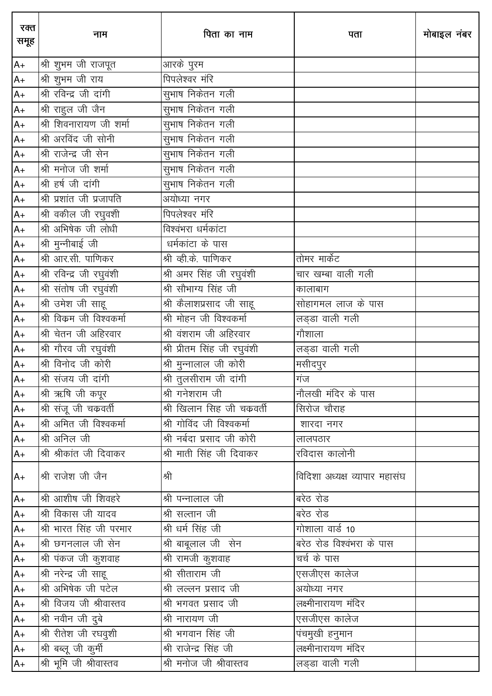| रक्त<br>समूह | नाम                       | पिता का नाम                         | पता                           | मोबाइल नंबर |
|--------------|---------------------------|-------------------------------------|-------------------------------|-------------|
| $A+$         | श्री शुभम जी राजपूत       | आरके पुरम                           |                               |             |
| $A+$         | श्री शुभम जी राय          | पिपलेश्वर मंरि                      |                               |             |
| $A+$         | श्री रविन्द्र जी दांगी    |                                     |                               |             |
| $A+$         | श्री राहुल जी जैन         | .<br>सुभाष निकेतन गली               |                               |             |
| $A+$         | श्री शिवनारायण जी शर्मा   | सुभाष निकेतन गली                    |                               |             |
| $A+$         | श्री अरविंद जी सोनी       | सुभाष निकेतन गली                    |                               |             |
| $A+$         | श्री राजेन्द्र जी सेन     | ____<br>सुभाष निकेतन गली            |                               |             |
| $A+$         | श्री मनोज जी शर्मा        | ____<br>सुभाष निकेतन गली            |                               |             |
| $A+$         | श्री हर्ष जी दांगी        | सुभाष निकेतन गली                    |                               |             |
| $A+$         | श्री प्रशांत जी प्रजापति  | _<br>अयोध्या नगर                    |                               |             |
| $A+$         | श्री वकील जी रघुवशी       | <u><br/>पिपलेश्वर मंरि</u>          |                               |             |
| $A+$         | श्री अभिषेक जी लोधी       | विश्वंभरा धर्मकांटा                 |                               |             |
| $A+$         | श्री मुन्नीबाई जी         | घर्मकांटा के पास                    |                               |             |
| $A+$         | श्री आर.सी. पाणिकर        | श्री व्ही.के. पाणिकर                | तोमर मार्केट                  |             |
| $A+$         | श्री रविन्द्र जी रघुवंशी  | श्री अमर सिंह जी रघुवंशी            | चार खम्बा वाली गली            |             |
| $A+$         | श्री संतोष जी रघुवंशी     | श्री सौभाग्य सिंह जी                | कालाबाग                       |             |
| $A+$         |                           | श्री कैलाशप्रसाद जी साहू            | सोहागमल लाज के पास            |             |
| $A+$         | श्री विक्रम जी विश्वकर्मा | श्री मोहन जी विश्वकर्मा             | लड्डा वाली गली                |             |
| $A+$         | श्री चेतन जी अहिरवार      | श्री वंशराम जी अहिरवार              | गौशाला                        |             |
| $A+$         | श्री गौरव जी रघुवंशी      | <u>श्री प्रीतम सिंह जी रघुवंशी</u>  | लड्डा वाली गली                |             |
| $A+$         | श्री विनोद जी कोरी        | श्री मुन्नालाल जी कोरी              | मसीदपुर                       |             |
| $A+$         | श्री संजय जी दांगी        | श्री तुलसीराम जी दांगी              | गंज                           |             |
| $A+$         | श्री ऋषि जी कपूर          | श्री गनेशराम जी                     | नौलखी मंदिर के पास            |             |
| $A+$         | श्री संजू जी चक्रवर्ती    | श्री खिलान सिंह जी चकवर्ती          | सिरोज चौराह                   |             |
| $A+$         | श्री अमित जी विश्वकर्मा   | श्री गोविंद जी विश्वकर्मा           | शारदा नगर                     |             |
| $A+$         | श्री अनिल जी              | श्री नर्बदा प्रसाद जी कोरी          | लालपठार                       |             |
| $A+$         | श्री श्रीकांत जी दिवाकर   | श्री माती सिंह जी दिवाकर            | रविदास कालोनी                 |             |
| $A+$         | श्री राजेश जी जैन         | श्री                                | विदिशा अध्यक्ष व्यापार महासंघ |             |
| $A+$         | श्री आशीष जी शिवहरे       | श्री पन्नालाल जी                    | बरेठ रोड                      |             |
| $A+$         | श्री विकास जी यादव        |                                     | बरेठ रोड                      |             |
| $A+$         | श्री भारत सिंह जी परमार   | श्री धर्म सिंह जी                   | गोशाला वार्ड 10               |             |
| $A+$         | श्री छगनलाल जी सेन        | श्री बाबूलाल जी सेन                 | बरेठ रोड विश्वंभरा के पास     |             |
| $A+$         | श्री पंकज जी कुशवाह       | श्री रामजी कुशवाह                   | चर्च के पास                   |             |
| $A+$         | श्री नरेन्द्र जी साहू     | $\overline{\mathcal{P}}$ सीताराम जी | एसजीएस कालेज                  |             |
| $A+$         | श्री अभिषेक जी पटेल       | श्री लल्लन प्रसाद जी                | अयोध्या नगर                   |             |
| $A+$         | श्री विजय जी श्रीवास्तव   | श्री भगवत प्रसाद जी                 | लक्ष्मीनारायण मंदिर           |             |
| $A+$         | श्री नवीन जी दुबे         | श्री नारायण जी                      | एसजीएस कालेज                  |             |
| $A+$         | श्री रीतेश जी रघवुशी      | श्री भगवान सिंह जी                  | पंचमुखी हनुमान                |             |
| $A+$         | श्री बब्लू जी कुर्मी      | श्री राजेन्द्र सिंह जी              | लक्ष्मीनारायण मंदिर           |             |
| $A+$         | श्री भूमि जी श्रीवास्तव   | श्री मनोज जी श्रीवास्तव             | लड्डा वाली गली                |             |